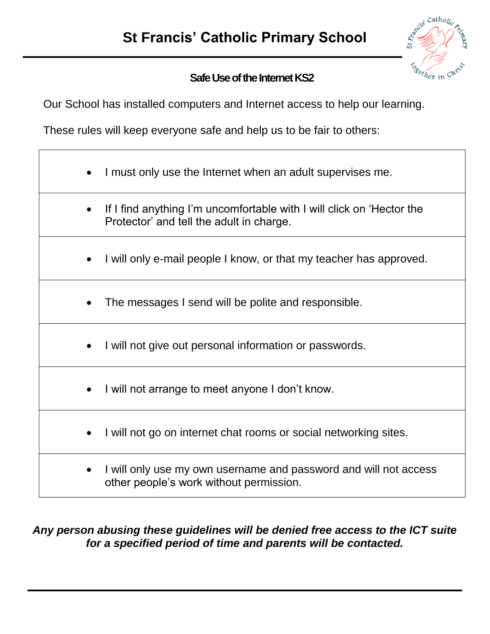

## **Safe Use of the Internet KS2**

Our School has installed computers and Internet access to help our learning.

These rules will keep everyone safe and help us to be fair to others:

- I must only use the Internet when an adult supervises me.
- If I find anything I'm uncomfortable with I will click on 'Hector the Protector' and tell the adult in charge.
- I will only e-mail people I know, or that my teacher has approved.
- The messages I send will be polite and responsible.
- I will not give out personal information or passwords.
- I will not arrange to meet anyone I don't know.
- I will not go on internet chat rooms or social networking sites.
- I will only use my own username and password and will not access other people's work without permission.

## *Any person abusing these guidelines will be denied free access to the ICT suite for a specified period of time and parents will be contacted.*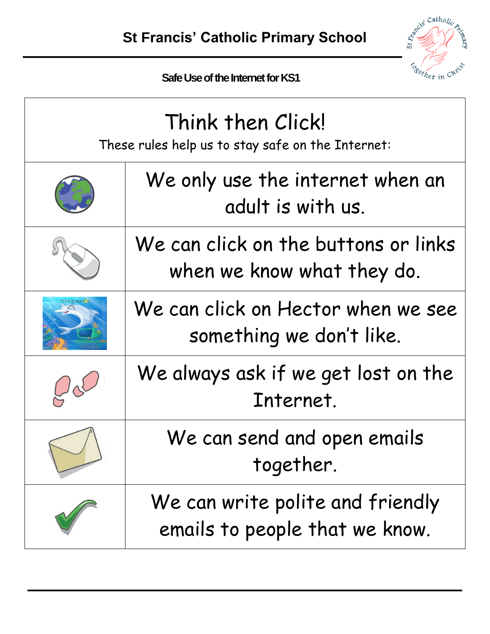

 **Safe Use of the Internet for KS1**

| Think then Click!<br>These rules help us to stay safe on the Internet: |                                                                    |  |  |  |  |  |  |
|------------------------------------------------------------------------|--------------------------------------------------------------------|--|--|--|--|--|--|
|                                                                        | We only use the internet when an<br>adult is with us.              |  |  |  |  |  |  |
|                                                                        | We can click on the buttons or links<br>when we know what they do. |  |  |  |  |  |  |
|                                                                        | We can click on Hector when we see<br>something we don't like.     |  |  |  |  |  |  |
|                                                                        | We always ask if we get lost on the<br>Internet.                   |  |  |  |  |  |  |
|                                                                        | We can send and open emails<br>together.                           |  |  |  |  |  |  |
|                                                                        | We can write polite and friendly<br>emails to people that we know. |  |  |  |  |  |  |